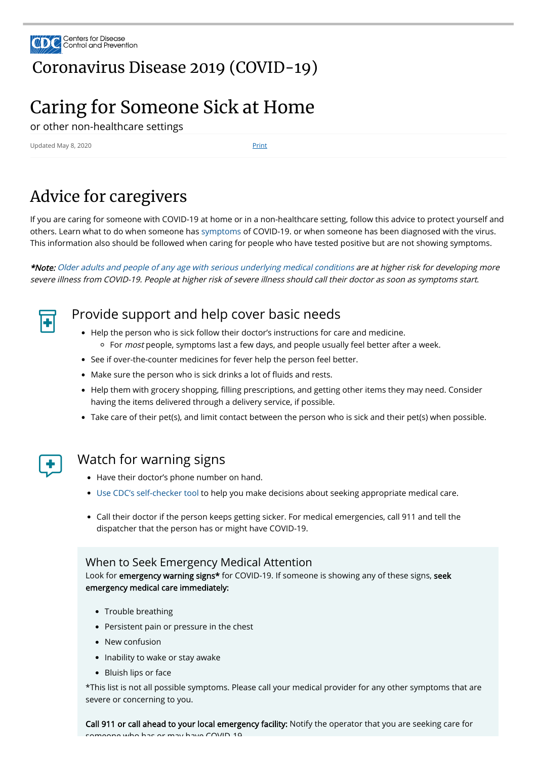

## [Coronavirus](https://www.cdc.gov/coronavirus/2019-nCoV/index.html) Disease 2019 (COVID-19)

# Caring for Someone Sick at Home

or other non-healthcare settings

Updated May 8, 2020 Print

# Advice for caregivers

If you are caring for someone with COVID-19 at home or in a non-healthcare setting, follow this advice to protect yourself and others. Learn what to do when someone has [symptoms](https://www.cdc.gov/coronavirus/2019-ncov/symptoms-testing/symptoms.html) of COVID-19. or when someone has been diagnosed with the virus. This information also should be followed when caring for people who have tested positive but are not showing symptoms.

\*Note: [Older adults and people of any age with serious underlying medical conditions](https://www.cdc.gov/coronavirus/2019-ncov/need-extra-precautions/groups-at-higher-risk.html) are at higher risk for developing more severe illness from COVID-19. People at higher risk of severe illness should call their doctor as soon as symptoms start.



## Provide support and help cover basic needs

- Have their doctor's phone number on hand.
- [Use CDC's self-checker tool](https://www.cdc.gov/coronavirus/2019-ncov/symptoms-testing/symptoms.html) to help you make decisions about seeking appropriate medical care.
- Call their doctor if the person keeps getting sicker. For medical emergencies, call 911 and tell the dispatcher that the person has or might have COVID-19.

Look for **emergency warning signs\*** for COVID-19. If someone is showing any of these signs, seek emergency medical care immediately:

- Trouble breathing
- Persistent pain or pressure in the chest
- New confusion
- Inability to wake or stay awake
- Bluish lips or face
- Help the person who is sick follow their doctor's instructions for care and medicine.  $\circ$  For *most* people, symptoms last a few days, and people usually feel better after a week.
- See if over-the-counter medicines for fever help the person feel better.
- Make sure the person who is sick drinks a lot of fluids and rests.
- Help them with grocery shopping, filling prescriptions, and getting other items they may need. Consider having the items delivered through a delivery service, if possible.
- Take care of their pet(s), and limit contact between the person who is sick and their pet(s) when possible.



#### Watch for warning signs

#### When to Seek Emergency Medical Attention

\*This list is not all possible symptoms. Please call your medical provider for any other symptoms that are severe or concerning to you.

Call 911 or call ahead to your local emergency facility: Notify the operator that you are seeking care for someone who has or may have COVID 19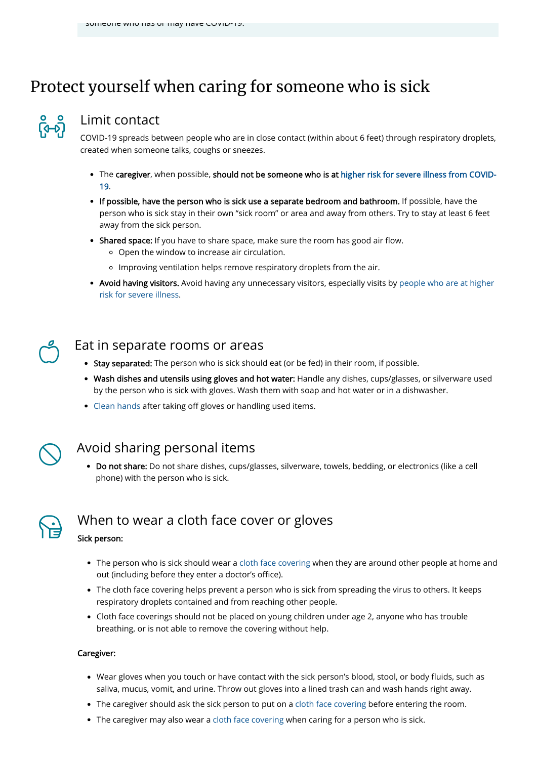# Protect yourself when caring for someone who is sick



#### Limit contact

COVID-19 spreads between people who are in close contact (within about 6 feet) through respiratory droplets, created when someone talks, coughs or sneezes.

- [The caregiver, when possible, should not be someone who is at higher risk for severe illness from COVID-](https://www.cdc.gov/coronavirus/2019-ncov/need-extra-precautions/people-at-higher-risk.html)19.
- If possible, have the person who is sick use a separate bedroom and bathroom. If possible, have the person who is sick stay in their own "sick room" or area and away from others. Try to stay at least 6 feet away from the sick person.
- Shared space: If you have to share space, make sure the room has good air flow.
	- Open the window to increase air circulation.
	- Improving ventilation helps remove respiratory droplets from the air.
- [Avoid having visitors. Avoid having any unnecessary visitors, especially visits by people who are at higher](https://www.cdc.gov/coronavirus/2019-ncov/need-extra-precautions/people-at-higher-risk.html) risk for severe illness.

• Do not share: Do not share dishes, cups/glasses, silverware, towels, bedding, or electronics (like a cell phone) with the person who is sick.



#### Eat in separate rooms or areas

- Stay separated: The person who is sick should eat (or be fed) in their room, if possible.
- Wash dishes and utensils using gloves and hot water: Handle any dishes, cups/glasses, or silverware used by the person who is sick with gloves. Wash them with soap and hot water or in a dishwasher.
- [Clean hands](https://www.cdc.gov/handwashing/when-how-handwashing.html) after taking off gloves or handling used items.



 $\bigcirc$ 

- The person who is sick should wear a [cloth face covering](https://www.cdc.gov/coronavirus/2019-ncov/prevent-getting-sick/diy-cloth-face-coverings.html) when they are around other people at home and
	- out (including before they enter a doctor's office).
- The cloth face covering helps prevent a person who is sick from spreading the virus to others. It keeps respiratory droplets contained and from reaching other people.
- Cloth face coverings should not be placed on young children under age 2, anyone who has trouble breathing, or is not able to remove the covering without help.

### Avoid sharing personal items

## When to wear <sup>a</sup> cloth face cover or gloves

Sick person:

- Wear gloves when you touch or have contact with the sick person's blood, stool, or body fluids, such as saliva, mucus, vomit, and urine. Throw out gloves into a lined trash can and wash hands right away.
- The caregiver should ask the sick person to put on a [cloth face covering](https://www.cdc.gov/coronavirus/2019-ncov/prevent-getting-sick/diy-cloth-face-coverings.html) before entering the room.
- The caregiver may also wear a [cloth face covering](https://www.cdc.gov/coronavirus/2019-ncov/prevent-getting-sick/diy-cloth-face-coverings.html) when caring for a person who is sick.

#### Caregiver: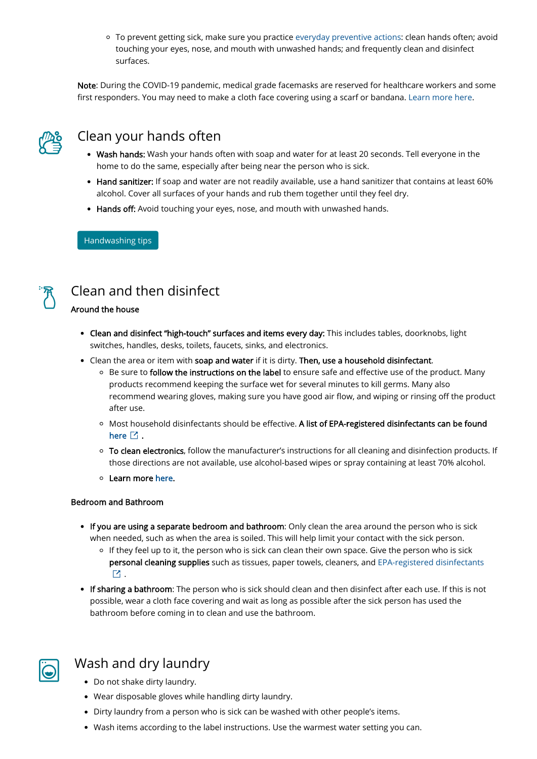To prevent getting sick, make sure you practice [everyday preventive actions:](https://www.cdc.gov/coronavirus/2019-ncov/prevent-getting-sick/prevention.html) clean hands often; avoid touching your eyes, nose, and mouth with unwashed hands; and frequently clean and disinfect surfaces.

Note: During the COVID-19 pandemic, medical grade facemasks are reserved for healthcare workers and some first responders. You may need to make a cloth face covering using a scarf or bandana. [Learn more here.](https://www.cdc.gov/coronavirus/2019-ncov/prevent-getting-sick/diy-cloth-face-coverings.html)



- Wash hands: Wash your hands often with soap and water for at least 20 seconds. Tell everyone in the home to do the same, especially after being near the person who is sick.
- Hand sanitizer: If soap and water are not readily available, use a hand sanitizer that contains at least 60% alcohol. Cover all surfaces of your hands and rub them together until they feel dry.
- Hands off: Avoid touching your eyes, nose, and mouth with unwashed hands.

### Clean your hands often

[Handwashing tips](https://www.cdc.gov/handwashing/)



## Clean and then disinfect

#### Around the house

- Clean and disinfect "high-touch" surfaces and items every day: This includes tables, doorknobs, light switches, handles, desks, toilets, faucets, sinks, and electronics.
- Clean the area or item with soap and water if it is dirty. Then, use a household disinfectant.
	- $\circ$  Be sure to follow the instructions on the label to ensure safe and effective use of the product. Many products recommend keeping the surface wet for several minutes to kill germs. Many also recommend wearing gloves, making sure you have good air flow, and wiping or rinsing off the product after use.
	- o Most household disinfectants should be effective. A list of EPA-registered disinfectants can be found [here](https://www.epa.gov/pesticide-registration/list-n-disinfectants-use-against-sars-cov-2)  $\boxdot$  .
	- To clean electronics, follow the manufacturer's instructions for all cleaning and disinfection products. If those directions are not available, use alcohol-based wipes or spray containing at least 70% alcohol.
	- o Learn more [here](https://www.cdc.gov/coronavirus/2019-ncov/prevent-getting-sick/disinfecting-your-home.html).

- If you are using a separate bedroom and bathroom: Only clean the area around the person who is sick when needed, such as when the area is soiled. This will help limit your contact with the sick person.
	- <sup>o</sup> If they feel up to it, the person who is sick can clean their own space. Give the person who is sick [personal cleaning supplies such as tissues, paper towels, cleaners, and EPA-registered disinfectants](https://www.epa.gov/pesticide-registration/list-n-disinfectants-use-against-sars-cov-2)
	- $\mathbf{Z}% _{M_{1},M_{2}}^{\prime\prime}=\mathbf{Z}_{M_{1},M_{2}}^{\prime\prime\prime}$  .
- If sharing a bathroom: The person who is sick should clean and then disinfect after each use. If this is not possible, wear a cloth face covering and wait as long as possible after the sick person has used the bathroom before coming in to clean and use the bathroom.

#### Bedroom and Bathroom



### Wash and dry laundry

- Do not shake dirty laundry.
- Wear disposable gloves while handling dirty laundry.
- Dirty laundry from a person who is sick can be washed with other people's items.
- Wash items according to the label instructions. Use the warmest water setting you can.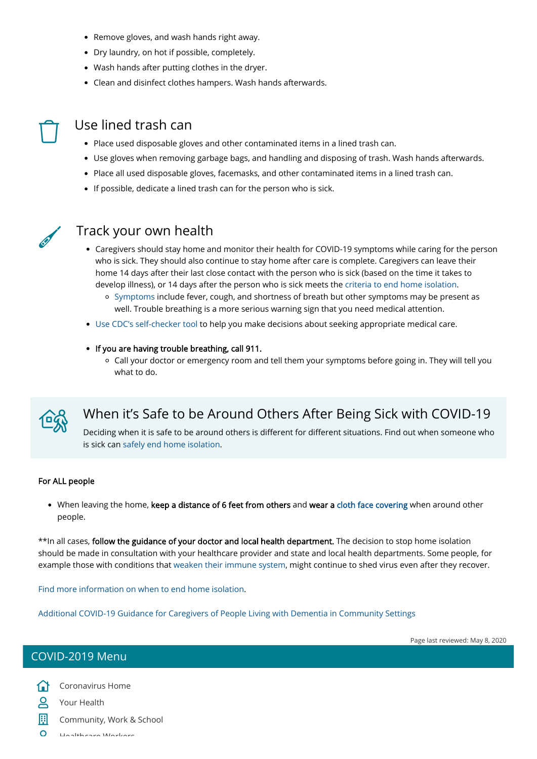- Remove gloves, and wash hands right away.
- Dry laundry, on hot if possible, completely.
- Wash hands after putting clothes in the dryer.
- Clean and disinfect clothes hampers. Wash hands afterwards.



### Use lined trash can

- Place used disposable gloves and other contaminated items in a lined trash can.
- Use gloves when removing garbage bags, and handling and disposing of trash. Wash hands afterwards.
- Place all used disposable gloves, facemasks, and other contaminated items in a lined trash can.
- If possible, dedicate a lined trash can for the person who is sick.



### Track your own health

Deciding when it is safe to be around others is different for different situations. Find out when someone who is sick can [safely end home isolation](https://www.cdc.gov/coronavirus/2019-ncov/prevent-getting-sick/when-its-safe.html).

• When leaving the home, keep a distance of 6 feet from others and wear a [cloth face covering](https://www.cdc.gov/coronavirus/2019-ncov/prevent-getting-sick/diy-cloth-face-coverings.html) when around other people.

- Caregivers should stay home and monitor their health for COVID-19 symptoms while caring for the person who is sick. They should also continue to stay home after care is complete. Caregivers can leave their home 14 days after their last close contact with the person who is sick (based on the time it takes to develop illness), or 14 days after the person who is sick meets the [criteria to end home isolation.](https://www.cdc.gov/coronavirus/2019-ncov/if-you-are-sick/end-home-isolation.html)
	- o [Symptoms](https://www.cdc.gov/coronavirus/2019-ncov/symptoms-testing/symptoms.html) include fever, cough, and shortness of breath but other symptoms may be present as well. Trouble breathing is a more serious warning sign that you need medical attention.
- [Use CDC's self-checker tool](https://www.cdc.gov/coronavirus/2019-ncov/symptoms-testing/symptoms.html) to help you make decisions about seeking appropriate medical care.
- If you are having trouble breathing, call 911.
	- Call your doctor or emergency room and tell them your symptoms before going in. They will tell you what to do.



[Coronavirus Home](https://www.cdc.gov/coronavirus/2019-ncov/index.html)  $\Omega$ 

[Your Health](https://www.cdc.gov/coronavirus/2019-ncov/your-health/index.html)  $\mathsf{S}$ 

鬨

## When it's Safe to be Around Others After Being Sick with COVID-19

#### For ALL people

\*\*In all cases, follow the guidance of your doctor and local health department. The decision to stop home isolation should be made in consultation with your healthcare provider and state and local health departments. Some people, for example those with conditions that [weaken their immune system,](https://www.cdc.gov/coronavirus/2019-ncov/hcp/ending-isolation.html) might continue to shed virus even after they recover.

#### [Find more information on when to end home isolation.](https://www.cdc.gov/coronavirus/2019-ncov/hcp/disposition-in-home-patients.html)

[Additional COVID-19 Guidance for Caregivers of People Living with Dementia in Community Settings](https://www.cdc.gov/coronavirus/2019-ncov/need-extra-precautions/caregivers-dementia.html)

Page last reviewed: May 8, 2020

#### COVID-2019 Menu

[Community, Work & School](https://www.cdc.gov/coronavirus/2019-ncov/community/index.html)

Haalthcare Workers  $\Omega$